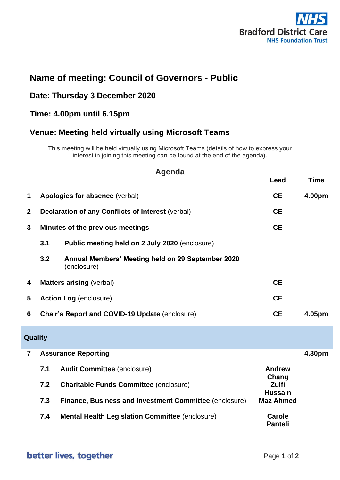

# **Name of meeting: Council of Governors - Public**

## **Date: Thursday 3 December 2020**

### **Time: 4.00pm until 6.15pm**

### **Venue: Meeting held virtually using Microsoft Teams**

This meeting will be held virtually using Microsoft Teams (details of how to express your interest in joining this meeting can be found at the end of the agenda).

# **Agenda**

|                |                               |                                                                  | Lead                           | <b>Time</b> |  |  |  |
|----------------|-------------------------------|------------------------------------------------------------------|--------------------------------|-------------|--|--|--|
| 1              |                               | Apologies for absence (verbal)                                   | <b>CE</b>                      | 4.00pm      |  |  |  |
| $\mathbf{2}$   |                               | Declaration of any Conflicts of Interest (verbal)                | <b>CE</b>                      |             |  |  |  |
| 3              |                               | <b>Minutes of the previous meetings</b>                          | <b>CE</b>                      |             |  |  |  |
|                | 3.1                           | Public meeting held on 2 July 2020 (enclosure)                   |                                |             |  |  |  |
|                | 3.2                           | Annual Members' Meeting held on 29 September 2020<br>(enclosure) |                                |             |  |  |  |
| 4              |                               | <b>Matters arising (verbal)</b>                                  | <b>CE</b>                      |             |  |  |  |
| 5              | <b>Action Log (enclosure)</b> |                                                                  | <b>CE</b>                      |             |  |  |  |
| 6              |                               | <b>Chair's Report and COVID-19 Update (enclosure)</b>            | <b>CE</b>                      | 4.05pm      |  |  |  |
| Quality        |                               |                                                                  |                                |             |  |  |  |
| $\overline{7}$ | <b>Assurance Reporting</b>    |                                                                  |                                | 4.30pm      |  |  |  |
|                | 7.1                           | <b>Audit Committee (enclosure)</b>                               | <b>Andrew</b><br>Chang         |             |  |  |  |
|                | 7.2                           | <b>Charitable Funds Committee (enclosure)</b>                    | <b>Zulfi</b><br><b>Hussain</b> |             |  |  |  |
|                | 7.3                           | <b>Finance, Business and Investment Committee (enclosure)</b>    | <b>Maz Ahmed</b>               |             |  |  |  |
|                | 7.4                           | <b>Mental Health Legislation Committee (enclosure)</b>           | Carole<br><b>Panteli</b>       |             |  |  |  |